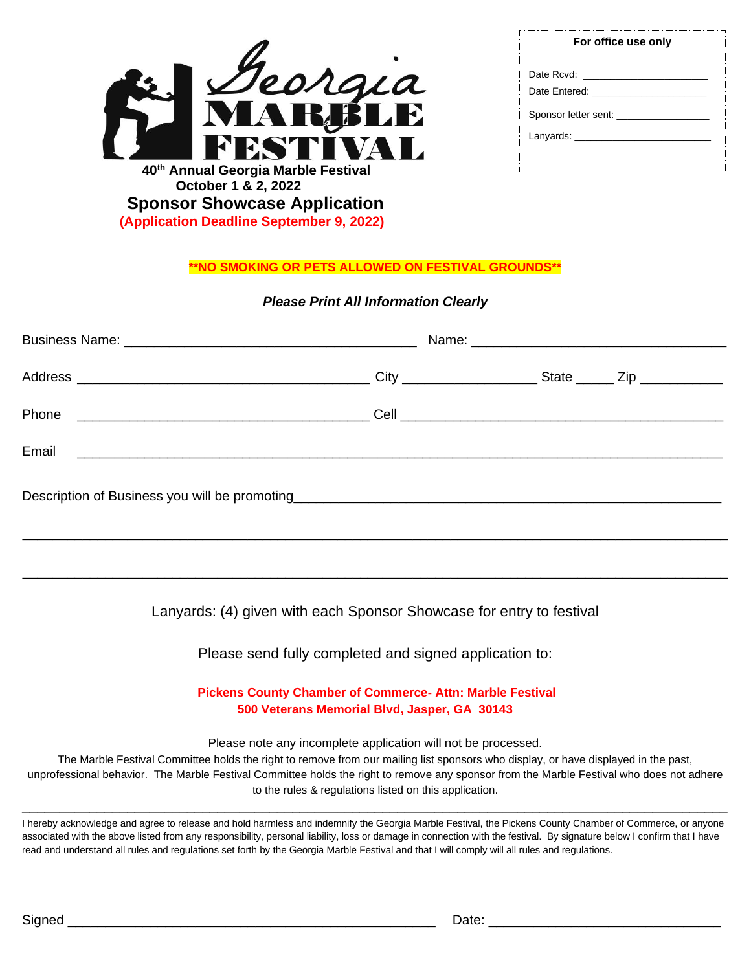

| For office use only      |  |  |
|--------------------------|--|--|
|                          |  |  |
| Date Rcvd:               |  |  |
| Date Entered:            |  |  |
| Sponsor letter sent: ___ |  |  |
| Lanyards:                |  |  |
|                          |  |  |
|                          |  |  |

**\*\*NO SMOKING OR PETS ALLOWED ON FESTIVAL GROUNDS\*\***

*Please Print All Information Clearly*

Lanyards: (4) given with each Sponsor Showcase for entry to festival

\_\_\_\_\_\_\_\_\_\_\_\_\_\_\_\_\_\_\_\_\_\_\_\_\_\_\_\_\_\_\_\_\_\_\_\_\_\_\_\_\_\_\_\_\_\_\_\_\_\_\_\_\_\_\_\_\_\_\_\_\_\_\_\_\_\_\_\_\_\_\_\_\_\_\_\_\_\_\_\_\_\_\_\_\_\_\_\_\_\_\_\_\_\_

Please send fully completed and signed application to:

**Pickens County Chamber of Commerce- Attn: Marble Festival 500 Veterans Memorial Blvd, Jasper, GA 30143**

Please note any incomplete application will not be processed.

The Marble Festival Committee holds the right to remove from our mailing list sponsors who display, or have displayed in the past, unprofessional behavior. The Marble Festival Committee holds the right to remove any sponsor from the Marble Festival who does not adhere to the rules & regulations listed on this application.

I hereby acknowledge and agree to release and hold harmless and indemnify the Georgia Marble Festival, the Pickens County Chamber of Commerce, or anyone associated with the above listed from any responsibility, personal liability, loss or damage in connection with the festival. By signature below I confirm that I have read and understand all rules and regulations set forth by the Georgia Marble Festival and that I will comply will all rules and regulations.

**\_\_\_\_\_\_\_\_\_\_\_\_\_\_\_\_\_\_\_\_\_\_\_\_\_\_\_\_\_\_\_\_\_\_\_\_\_\_\_\_\_\_\_\_\_\_\_\_\_\_\_\_\_\_\_\_\_\_\_\_\_\_\_\_\_\_\_\_\_\_\_\_\_\_\_\_\_\_\_\_\_\_\_\_\_\_\_\_\_\_\_\_\_\_**